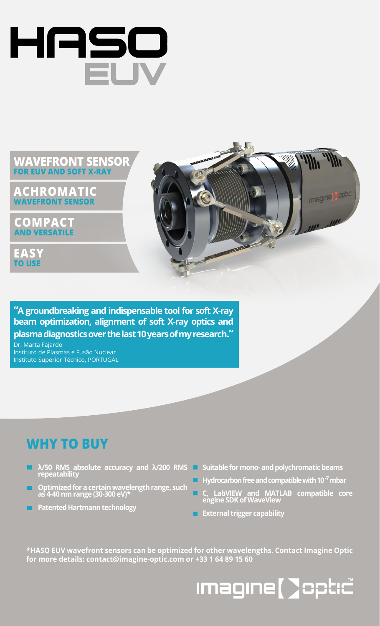

#### **WAVEFRONT SENSOR FOR EUV AND SOFT X-RAY**

**ACHROMATIC WAVEFRONT SENSOR**

**COMPACT AND VERSATILE**

**EASY TO USE**



**"A groundbreaking and indispensable tool for soft X-ray beam optimization, alignment of soft X-ray optics and plasma diagnostics over the last 10 years of my research."**

Dr. Marta Fajardo Instituto de Plasmas e Fusão Nuclear Instituto Superior Técnico, PORTUGAL

### **WHY TO BUY**

- **λ/50 RMS absolute accuracy and λ/200 RMS repeatability**
- **Optimized for a certain wavelength range, such as 4-40 nm range (30-300 eV)\***
- **Patented Hartmann technology**
- **Suitable for mono- and polychromatic beams**
- **Hydrocarbon free and compatible with 10-7mbar**
- **C, LabVIEW and MATLAB compatible core engine SDK of WaveView**
- **External trigger capability**

**\*HASO EUV wavefront sensors can be optimized for other wavelengths. Contact Imagine Optic for more details: contact@imagine-optic.com or +33 1 64 89 15 60**

## **Imagine [ ]opt:c"**